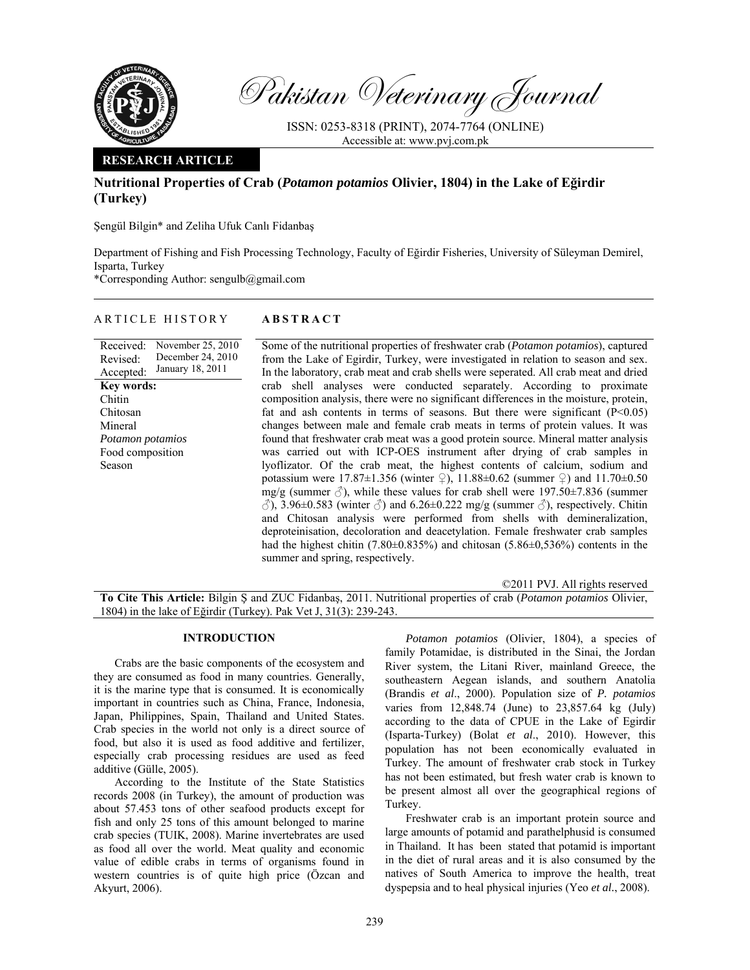

Pakistan Veterinary Journal

ISSN: 0253-8318 (PRINT), 2074-7764 (ONLINE) Accessible at: www.pvj.com.pk

## **RESEARCH ARTICLE**

# **Nutritional Properties of Crab (***Potamon potamios* **Olivier, 1804) in the Lake of Eğirdir (Turkey)**

Şengül Bilgin\* and Zeliha Ufuk Canlı Fidanbaş

Department of Fishing and Fish Processing Technology, Faculty of Eğirdir Fisheries, University of Süleyman Demirel, Isparta, Turkey

\*Corresponding Author: sengulb@gmail.com

## ARTICLE HISTORY **ABSTRACT**

Received: Revised: Accepted: November 25, 2010 December 24, 2010 January 18, 2011 **Key words:**  Chitin Chitosan Mineral *Potamon potamios*  Food composition Season

Some of the nutritional properties of freshwater crab (*Potamon potamios*), captured from the Lake of Egirdir, Turkey, were investigated in relation to season and sex. In the laboratory, crab meat and crab shells were seperated. All crab meat and dried crab shell analyses were conducted separately. According to proximate composition analysis, there were no significant differences in the moisture, protein, fat and ash contents in terms of seasons. But there were significant  $(P<0.05)$ changes between male and female crab meats in terms of protein values. It was found that freshwater crab meat was a good protein source. Mineral matter analysis was carried out with ICP-OES instrument after drying of crab samples in lyoflizator. Of the crab meat, the highest contents of calcium, sodium and potassium were 17.87 $\pm$ 1.356 (winter  $\frac{1}{2}$ ), 11.88 $\pm$ 0.62 (summer  $\frac{1}{2}$ ) and 11.70 $\pm$ 0.50 mg/g (summer  $\delta$ ), while these values for crab shell were 197.50 $\pm$ 7.836 (summer  $\langle \hat{\mathcal{O}} \rangle$ , 3.96±0.583 (winter  $\langle \hat{\mathcal{O}} \rangle$  and 6.26±0.222 mg/g (summer  $\langle \hat{\mathcal{O}} \rangle$ , respectively. Chitin and Chitosan analysis were performed from shells with demineralization, deproteinisation, decoloration and deacetylation. Female freshwater crab samples had the highest chitin (7.80±0.835%) and chitosan (5.86±0,536%) contents in the summer and spring, respectively.

©2011 PVJ. All rights reserved

**To Cite This Article:** Bilgin Ş and ZUC Fidanbaş, 2011. Nutritional properties of crab (*Potamon potamios* Olivier, 1804) in the lake of Eğirdir (Turkey). Pak Vet J, 31(3): 239-243.

### **INTRODUCTION**

Crabs are the basic components of the ecosystem and they are consumed as food in many countries. Generally, it is the marine type that is consumed. It is economically important in countries such as China, France, Indonesia, Japan, Philippines, Spain, Thailand and United States. Crab species in the world not only is a direct source of food, but also it is used as food additive and fertilizer, especially crab processing residues are used as feed additive (Gülle, 2005).

According to the Institute of the State Statistics records 2008 (in Turkey), the amount of production was about 57.453 tons of other seafood products except for fish and only 25 tons of this amount belonged to marine crab species (TUIK, 2008). Marine invertebrates are used as food all over the world. Meat quality and economic value of edible crabs in terms of organisms found in western countries is of quite high price (Özcan and Akyurt, 2006).

*Potamon potamios* (Olivier, 1804), a species of family Potamidae, is distributed in the Sinai, the Jordan River system, the Litani River, mainland Greece, the southeastern Aegean islands, and southern Anatolia (Brandis *et al*., 2000). Population size of *P. potamios*  varies from 12,848.74 (June) to 23,857.64 kg (July) according to the data of CPUE in the Lake of Egirdir (Isparta-Turkey) (Bolat *et al*., 2010). However, this population has not been economically evaluated in Turkey. The amount of freshwater crab stock in Turkey has not been estimated, but fresh water crab is known to be present almost all over the geographical regions of Turkey.

Freshwater crab is an important protein source and large amounts of potamid and parathelphusid is consumed in Thailand. It has been stated that potamid is important in the diet of rural areas and it is also consumed by the natives of South America to improve the health, treat dyspepsia and to heal physical injuries (Yeo *et al.*, 2008).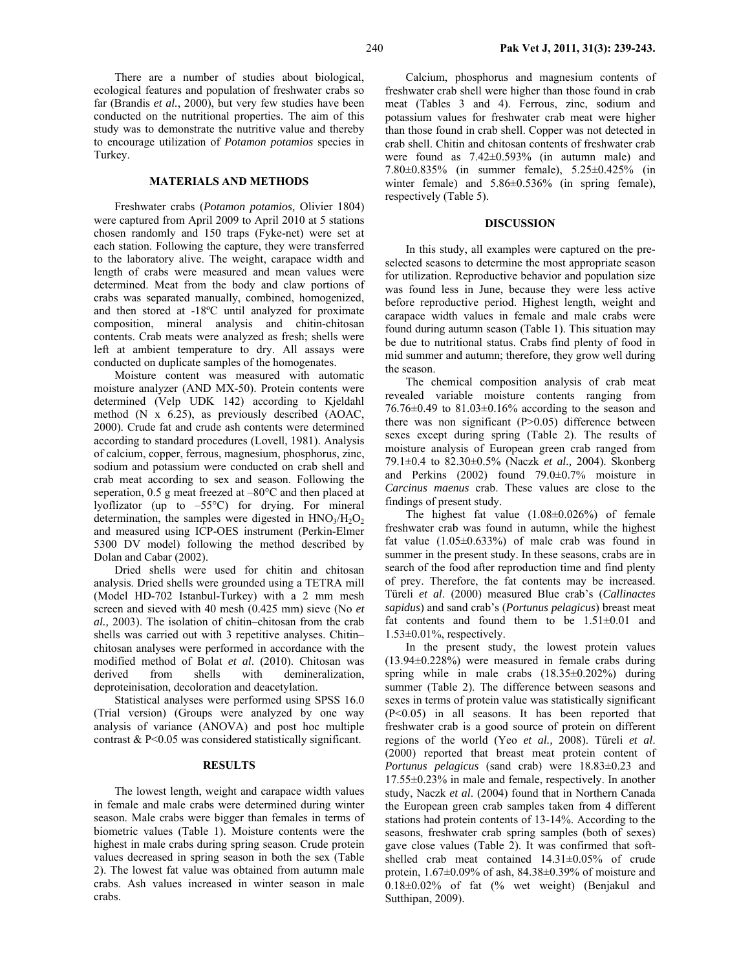There are a number of studies about biological, ecological features and population of freshwater crabs so far (Brandis *et al.*, 2000), but very few studies have been conducted on the nutritional properties. The aim of this study was to demonstrate the nutritive value and thereby to encourage utilization of *Potamon potamios* species in Turkey.

#### **MATERIALS AND METHODS**

Freshwater crabs (*Potamon potamios,* Olivier 1804) were captured from April 2009 to April 2010 at 5 stations chosen randomly and 150 traps (Fyke-net) were set at each station. Following the capture, they were transferred to the laboratory alive. The weight, carapace width and length of crabs were measured and mean values were determined. Meat from the body and claw portions of crabs was separated manually, combined, homogenized, and then stored at -18ºC until analyzed for proximate composition, mineral analysis and chitin-chitosan contents. Crab meats were analyzed as fresh; shells were left at ambient temperature to dry. All assays were conducted on duplicate samples of the homogenates.

Moisture content was measured with automatic moisture analyzer (AND MX-50). Protein contents were determined (Velp UDK 142) according to Kjeldahl method (N x 6.25), as previously described (AOAC, 2000). Crude fat and crude ash contents were determined according to standard procedures (Lovell, 1981). Analysis of calcium, copper, ferrous, magnesium, phosphorus, zinc, sodium and potassium were conducted on crab shell and crab meat according to sex and season. Following the seperation, 0.5 g meat freezed at –80°C and then placed at lyoflizator (up to –55°C) for drying. For mineral determination, the samples were digested in  $HNO<sub>3</sub>/H<sub>2</sub>O<sub>2</sub>$ and measured using ICP-OES instrument (Perkin-Elmer 5300 DV model) following the method described by Dolan and Cabar (2002).

Dried shells were used for chitin and chitosan analysis. Dried shells were grounded using a TETRA mill (Model HD-702 Istanbul-Turkey) with a 2 mm mesh screen and sieved with 40 mesh (0.425 mm) sieve (No *et al.,* 2003). The isolation of chitin–chitosan from the crab shells was carried out with 3 repetitive analyses. Chitin– chitosan analyses were performed in accordance with the modified method of Bolat *et al*. (2010). Chitosan was derived from shells with demineralization, deproteinisation, decoloration and deacetylation.

Statistical analyses were performed using SPSS 16.0 (Trial version) (Groups were analyzed by one way analysis of variance (ANOVA) and post hoc multiple contrast & P<0.05 was considered statistically significant.

#### **RESULTS**

The lowest length, weight and carapace width values in female and male crabs were determined during winter season. Male crabs were bigger than females in terms of biometric values (Table 1). Moisture contents were the highest in male crabs during spring season. Crude protein values decreased in spring season in both the sex (Table 2). The lowest fat value was obtained from autumn male crabs. Ash values increased in winter season in male crabs.

Calcium, phosphorus and magnesium contents of freshwater crab shell were higher than those found in crab meat (Tables 3 and 4). Ferrous, zinc, sodium and potassium values for freshwater crab meat were higher than those found in crab shell. Copper was not detected in crab shell. Chitin and chitosan contents of freshwater crab were found as 7.42±0.593% (in autumn male) and 7.80±0.835% (in summer female), 5.25±0.425% (in winter female) and  $5.86\pm0.536\%$  (in spring female), respectively (Table 5).

#### **DISCUSSION**

In this study, all examples were captured on the preselected seasons to determine the most appropriate season for utilization. Reproductive behavior and population size was found less in June, because they were less active before reproductive period. Highest length, weight and carapace width values in female and male crabs were found during autumn season (Table 1). This situation may be due to nutritional status. Crabs find plenty of food in mid summer and autumn; therefore, they grow well during the season.

The chemical composition analysis of crab meat revealed variable moisture contents ranging from 76.76±0.49 to 81.03±0.16% according to the season and there was non significant (P>0.05) difference between sexes except during spring (Table 2). The results of moisture analysis of European green crab ranged from 79.1±0.4 to 82.30±0.5% (Naczk *et al.,* 2004). Skonberg and Perkins (2002) found 79.0±0.7% moisture in *Carcinus maenus* crab. These values are close to the findings of present study.

The highest fat value (1.08±0.026%) of female freshwater crab was found in autumn, while the highest fat value  $(1.05\pm0.633\%)$  of male crab was found in summer in the present study. In these seasons, crabs are in search of the food after reproduction time and find plenty of prey. Therefore, the fat contents may be increased. Türeli *et al*. (2000) measured Blue crab's (*Callinactes sapidus*) and sand crab's (*Portunus pelagicus*) breast meat fat contents and found them to be  $1.51\pm0.01$  and  $1.53\pm0.01\%$ , respectively.

In the present study, the lowest protein values (13.94±0.228%) were measured in female crabs during spring while in male crabs (18.35±0.202%) during summer (Table 2). The difference between seasons and sexes in terms of protein value was statistically significant (P<0.05) in all seasons. It has been reported that freshwater crab is a good source of protein on different regions of the world (Yeo *et al.,* 2008). Türeli *et al*. (2000) reported that breast meat protein content of *Portunus pelagicus* (sand crab) were 18.83±0.23 and 17.55±0.23% in male and female, respectively. In another study, Naczk *et al*. (2004) found that in Northern Canada the European green crab samples taken from 4 different stations had protein contents of 13-14%. According to the seasons, freshwater crab spring samples (both of sexes) gave close values (Table 2). It was confirmed that softshelled crab meat contained 14.31±0.05% of crude protein,  $1.67\pm0.09\%$  of ash,  $84.38\pm0.39\%$  of moisture and 0.18±0.02% of fat (% wet weight) (Benjakul and Sutthipan, 2009).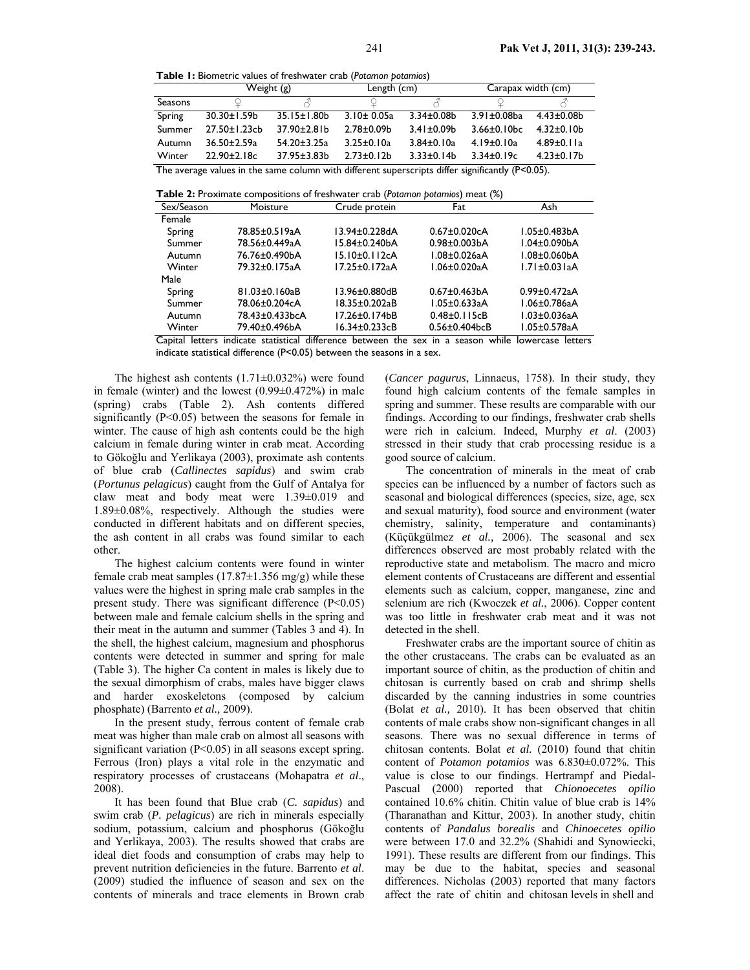**Table 1:** Biometric values of freshwater crab (*Potamon potamios*)

|                                                                                                     | Weight (g)          |                    | Length (cm)       |                   | Carapax width (cm)            |                   |
|-----------------------------------------------------------------------------------------------------|---------------------|--------------------|-------------------|-------------------|-------------------------------|-------------------|
| Seasons                                                                                             |                     |                    |                   |                   |                               |                   |
| Spring                                                                                              | 30.30±1.59b         | $35.15 \pm 1.80$   | $3.10 \pm 0.05a$  | $3.34 \pm 0.08$   | $3.91 \pm 0.08$ ba            | $4.43 \pm 0.08$   |
| Summer                                                                                              | $27.50 \pm 1.23$ cb | 37.90±2.81b        | $2.78 \pm 0.09$ b | $3.41 \pm 0.09$ b | $3.66 \pm 0.10$ <sub>bc</sub> | $4.32 \pm 0.10$   |
| Autumn                                                                                              | $36.50 \pm 2.59a$   | 54.20±3.25a        | $3.25 \pm 0.10a$  | $3.84 \pm 0.10a$  | $4.19 \pm 0.10a$              | $4.89 \pm 0.11a$  |
| Winter                                                                                              | $22.90 \pm 2.18c$   | $37.95 \pm 3.83 b$ | $2.73 \pm 0.12 b$ | $3.33 \pm 0.14 b$ | $3.34\pm0.19c$                | $4.23 \pm 0.17$ b |
| The average values in the same column with different superscripts differ significantly $(P<0.05)$ . |                     |                    |                   |                   |                               |                   |

**Table 2:** Proximate compositions of freshwater crab (*Potamon potamios*) meat (%)

| Sex/Season | Moisture       | Crude protein | Fat                              | Ash                 |
|------------|----------------|---------------|----------------------------------|---------------------|
| Female     |                |               |                                  |                     |
| Spring     | 78.85±0.519aA  | 13.94±0.228dA | $0.67 \pm 0.020c$ A              | $1.05 \pm 0.483$ bA |
| Summer     | 78.56±0.449aA  | 15.84±0.240bA | $0.98 \pm 0.003$ bA              | $1.04 \pm 0.090$ bA |
| Autumn     | 76.76±0.490bA  | 15.10±0.112cA | 1.08±0.026aA                     | $1.08 \pm 0.060$ bA |
| Winter     | 79.32±0.175aA  | 17.25±0.172aA | 1.06±0.020aA                     | $1.71 \pm 0.03$ laA |
| Male       |                |               |                                  |                     |
| Spring     | 81.03±0.160aB  | 13.96±0.880dB | $0.67 \pm 0.463$ bA              | $0.99 \pm 0.472$ aA |
| Summer     | 78.06±0.204cA  | 18.35±0.202aB | 1.05±0.633aA                     | 1.06±0.786aA        |
| Autumn     | 78.43±0.433bcA | 17.26±0.174bB | $0.48 \pm 0.115$ cB              | $1.03 \pm 0.036$ aA |
| Winter     | 79.40±0.496bA  | 16.34±0.233cB | $0.56 \pm 0.404$ <sub>bc</sub> B | 1.05±0.578aA        |

Capital letters indicate statistical difference between the sex in a season while lowercase letters indicate statistical difference (P<0.05) between the seasons in a sex.

The highest ash contents  $(1.71\pm0.032\%)$  were found in female (winter) and the lowest  $(0.99\pm 0.472\%)$  in male (spring) crabs (Table 2). Ash contents differed significantly (P<0.05) between the seasons for female in winter. The cause of high ash contents could be the high calcium in female during winter in crab meat. According to Gökoğlu and Yerlikaya (2003), proximate ash contents of blue crab (*Callinectes sapidus*) and swim crab (*Portunus pelagicus*) caught from the Gulf of Antalya for claw meat and body meat were 1.39±0.019 and 1.89±0.08%, respectively. Although the studies were conducted in different habitats and on different species, the ash content in all crabs was found similar to each other.

The highest calcium contents were found in winter female crab meat samples  $(17.87\pm1.356 \text{ mg/g})$  while these values were the highest in spring male crab samples in the present study. There was significant difference  $(P<0.05)$ between male and female calcium shells in the spring and their meat in the autumn and summer (Tables 3 and 4). In the shell, the highest calcium, magnesium and phosphorus contents were detected in summer and spring for male (Table 3). The higher Ca content in males is likely due to the sexual dimorphism of crabs, males have bigger claws and harder exoskeletons (composed by calcium phosphate) (Barrento *et al.,* 2009).

In the present study, ferrous content of female crab meat was higher than male crab on almost all seasons with significant variation (P<0.05) in all seasons except spring. Ferrous (Iron) plays a vital role in the enzymatic and respiratory processes of crustaceans (Mohapatra *et al*., 2008).

It has been found that Blue crab (*C. sapidus*) and swim crab (*P. pelagicus*) are rich in minerals especially sodium, potassium, calcium and phosphorus (Gökoğlu and Yerlikaya, 2003). The results showed that crabs are ideal diet foods and consumption of crabs may help to prevent nutrition deficiencies in the future. Barrento *et al*. (2009) studied the influence of season and sex on the contents of minerals and trace elements in Brown crab

(*Cancer pagurus*, Linnaeus, 1758). In their study, they found high calcium contents of the female samples in spring and summer. These results are comparable with our findings. According to our findings, freshwater crab shells were rich in calcium. Indeed, Murphy *et al*. (2003) stressed in their study that crab processing residue is a good source of calcium.

The concentration of minerals in the meat of crab species can be influenced by a number of factors such as seasonal and biological differences (species, size, age, sex and sexual maturity), food source and environment (water chemistry, salinity, temperature and contaminants) (Küçükgülmez *et al.,* 2006). The seasonal and sex differences observed are most probably related with the reproductive state and metabolism. The macro and micro element contents of Crustaceans are different and essential elements such as calcium, copper, manganese, zinc and selenium are rich (Kwoczek *et al.*, 2006). Copper content was too little in freshwater crab meat and it was not detected in the shell.

Freshwater crabs are the important source of chitin as the other crustaceans. The crabs can be evaluated as an important source of chitin, as the production of chitin and chitosan is currently based on crab and shrimp shells discarded by the canning industries in some countries (Bolat *et al.,* 2010). It has been observed that chitin contents of male crabs show non-significant changes in all seasons. There was no sexual difference in terms of chitosan contents. Bolat *et al.* (2010) found that chitin content of *Potamon potamios* was 6.830±0.072%. This value is close to our findings. Hertrampf and Piedal-Pascual (2000) reported that *Chionoecetes opilio*  contained 10.6% chitin. Chitin value of blue crab is 14% (Tharanathan and Kittur, 2003). In another study, chitin contents of *Pandalus borealis* and *Chinoecetes opilio*  were between 17.0 and 32.2% (Shahidi and Synowiecki, 1991). These results are different from our findings. This may be due to the habitat, species and seasonal differences. Nicholas (2003) reported that many factors affect the rate of chitin and chitosan levels in shell and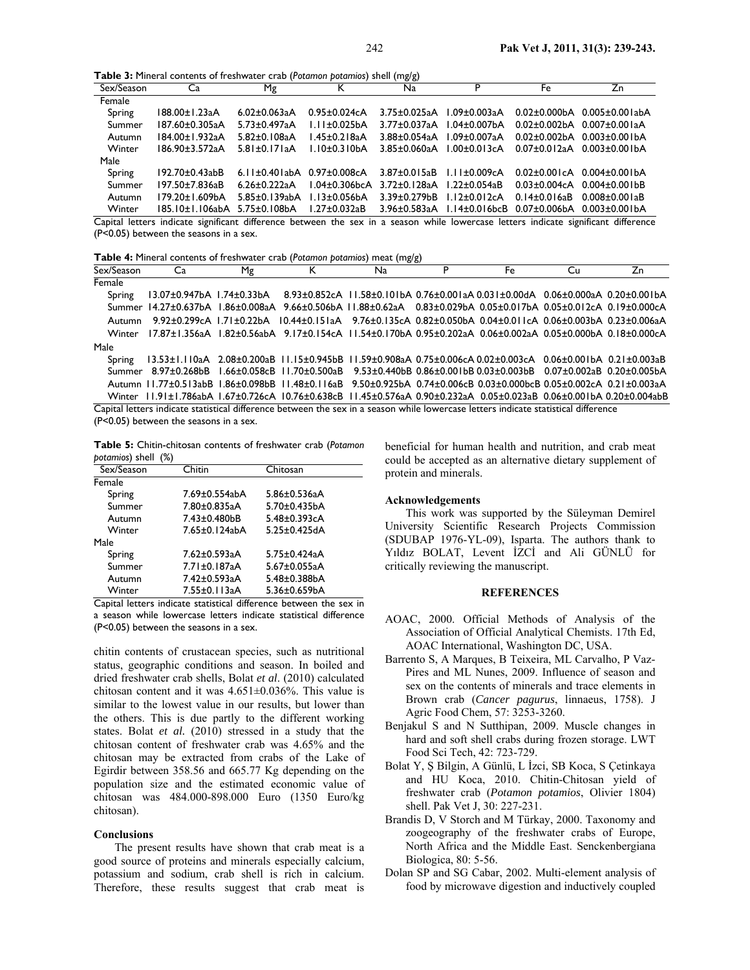**Table 3:** Mineral contents of freshwater crab (*Potamon potamios*) shell (mg/g)

|               |                                                  |                                        |                                | ິ                   |                                          |                             |                                           |
|---------------|--------------------------------------------------|----------------------------------------|--------------------------------|---------------------|------------------------------------------|-----------------------------|-------------------------------------------|
| Sex/Season    | Ca                                               | Mg                                     |                                | Na                  | P                                        | Fe                          | Zn                                        |
| Female        |                                                  |                                        |                                |                     |                                          |                             |                                           |
| Spring        | 188.00±1.23aA                                    | $6.02 \pm 0.063$ aA                    | $0.95 \pm 0.024c$ A            | $3.75 \pm 0.025$ aA | 1.09±0.003aA                             |                             | $0.02 \pm 0.000$ bA $0.005 \pm 0.001$ abA |
| Summer        | 187.60±0.305aA                                   | $5.73 \pm 0.497$ aA                    | $1.11 \pm 0.025$ bA            | $3.77 \pm 0.037$ aA | $1.04 \pm 0.007$ bA                      |                             | $0.02\pm0.002bA$ $0.007\pm0.001aA$        |
| <b>Autumn</b> | 184.00±1.932aA                                   | $5.82 \pm 0.108$ aA                    | $1.45 \pm 0.218$ aA            | $3.88 + 0.054$ aA   | $1.09 + 0.0073A$                         |                             | $0.02\pm0.002bA$ $0.003\pm0.001bA$        |
| Winter        | 186.90±3.572aA                                   | $5.81 \pm 0.171$ aA                    | $1.10 \pm 0.310$ bA            | $3.85 + 0.060$ aA   | $1.00 \pm 0.013c$ A                      |                             | $0.07\pm0.012$ aA $0.003\pm0.001$ bA      |
| Male          |                                                  |                                        |                                |                     |                                          |                             |                                           |
| Spring        | 192.70±0.43abB                                   | 6.11 $\pm$ 0.401abA 0.97 $\pm$ 0.008cA |                                | $3.87 \pm 0.015$ aB | $1.11 \pm 0.009cA$                       |                             | $0.02\pm0.001cA$ $0.004\pm0.001bA$        |
| Summer        | 197.50±7.836aB                                   | $6.26 + 0.222$ aA                      | $1.04\pm0.306$ <sub>bc</sub> A | 3.72+0.128aA        | $1.22 \pm 0.054$ aB                      |                             | $0.03\pm0.004cA$ $0.004\pm0.001bB$        |
| Autumn        | 179.20+1.609bA                                   | $5.85 \pm 0.139$ abA                   | $1.13 + 0.056hA$               | 3.39+0.279bB        | $1.12\pm0.012cA$                         | $0.14 + 0.016$ aB           | 0.008+0.001aB                             |
| Winter        | $185.10 \pm 1.106$ ab $A = 5.75 \pm 0.108$ b $A$ |                                        | $1.27 \pm 0.032$ aB            |                     | $3.96 \pm 0.583$ aA $1.14 \pm 0.016$ bcB |                             | $0.07\pm0.006$ bA $0.003\pm0.00$ IbA      |
| - - - -       | $\sim$ $\sim$ $\sim$                             | $\cdots$                               |                                |                     | .                                        | $\sim$ $\sim$ $\sim$ $\sim$ |                                           |

Capital letters indicate significant difference between the sex in a season while lowercase letters indicate significant difference (P<0.05) between the seasons in a sex.

**Table 4:** Mineral contents of freshwater crab (*Potamon potamios*) meat (mg/g)

| Sex/Season | Ca                                                                                                                                  | Μg |  | Na                                                                                                                                                                 | P | Fe | Cu | Zn |
|------------|-------------------------------------------------------------------------------------------------------------------------------------|----|--|--------------------------------------------------------------------------------------------------------------------------------------------------------------------|---|----|----|----|
| Female     |                                                                                                                                     |    |  |                                                                                                                                                                    |   |    |    |    |
| Spring     | 13.07±0.947bA 1.74±0.33bA                                                                                                           |    |  | 8.93±0.852cA 11.58±0.101bA 0.76±0.001aA 0.031±0.00dA 0.06±0.000aA 0.20±0.001bA                                                                                     |   |    |    |    |
|            | Summer 14.27±0.637bA 1.86±0.008aA 9.66±0.506bA 11.88±0.62aA 0.83±0.029bA 0.05±0.017bA 0.05±0.012cA 0.19±0.000cA                     |    |  |                                                                                                                                                                    |   |    |    |    |
| Autumn     | $9.92 + 0.299cA$ 1.71+0.22bA                                                                                                        |    |  | $10.44\pm0.15$ and $9.76\pm0.13$ 5cm $0.82\pm0.05$ 0bm $0.04\pm0.01$ cm $0.06\pm0.003$ bm $0.23\pm0.006$ and $0.04\pm0.01$ cm $0.06\pm0.003$ bm $0.23\pm0.006$ and |   |    |    |    |
| Winter     | 17.87±1.356aA 1.82±0.56abA 9.17±0.154cA 11.54±0.170bA 0.95±0.202aA 0.06±0.002aA 0.05±0.000bA 0.18±0.000cA                           |    |  |                                                                                                                                                                    |   |    |    |    |
| Male       |                                                                                                                                     |    |  |                                                                                                                                                                    |   |    |    |    |
| Spring     | 13.53±1.110aA 2.08±0.200aB 11.15±0.945bB 11.59±0.908aA 0.75±0.006cA 0.02±0.003cA 0.06±0.001bA 0.21±0.003aB                          |    |  |                                                                                                                                                                    |   |    |    |    |
|            | Summer 8.97±0.268bB 1.66±0.058cB 11.70±0.500aB 9.53±0.440bB 0.86±0.001bB 0.03±0.003bB 0.07±0.002aB 0.20±0.005bA                     |    |  |                                                                                                                                                                    |   |    |    |    |
|            | Autumn 11.77±0.513abB 1.86±0.098bB 11.48±0.116aB 9.50±0.925bA 0.74±0.006cB 0.03±0.000bcB 0.05±0.002cA 0.21±0.003aA                  |    |  |                                                                                                                                                                    |   |    |    |    |
|            | Winter 11.91±1.786abA 1.67±0.726cA 10.76±0.638cB 11.45±0.576aA 0.90±0.232aA 0.05±0.023aB 0.06±0.001bA 0.20±0.004abB                 |    |  |                                                                                                                                                                    |   |    |    |    |
|            | Capital letters indicate statistical difference between the sex in a season while lowercase letters indicate statistical difference |    |  |                                                                                                                                                                    |   |    |    |    |

(P<0.05) between the seasons in a sex.

**Table 5:** Chitin-chitosan contents of freshwater crab (*Potamon potamios*) shell (%)

| Sex/Season | Chitin                                        | Chitosan            |  |
|------------|-----------------------------------------------|---------------------|--|
| Female     |                                               |                     |  |
| Spring     | 7.69±0.554abA                                 | $5.86 \pm 0.536$ aA |  |
| Summer     | 7.80±0.835aA                                  | $5.70 \pm 0.435$ bA |  |
| Autumn     | 7.43±0.480bB                                  | $5.48 \pm 0.393$ cA |  |
| Winter     | 7.65±0.124abA                                 | $5.25 \pm 0.425$ dA |  |
| Male       |                                               |                     |  |
| Spring     | 7.62±0.593aA                                  | $5.75 \pm 0.424$ aA |  |
| Summer     | 7.71±0.187aA                                  | $5.67 \pm 0.055$ aA |  |
| Autumn     | 7.42±0.593aA                                  | 5.48±0.388bA        |  |
| Winter     | 7.55±0.113aA                                  | 5.36±0.659bA        |  |
| .          | $\sim$ $\sim$ $\sim$ $\sim$ $\sim$ $\sim$<br> |                     |  |

Capital letters indicate statistical difference between the sex in a season while lowercase letters indicate statistical difference (P<0.05) between the seasons in a sex.

chitin contents of crustacean species, such as nutritional status, geographic conditions and season. In boiled and dried freshwater crab shells, Bolat *et al*. (2010) calculated chitosan content and it was 4.651±0.036%. This value is similar to the lowest value in our results, but lower than the others. This is due partly to the different working states. Bolat *et al.* (2010) stressed in a study that the chitosan content of freshwater crab was 4.65% and the chitosan may be extracted from crabs of the Lake of Egirdir between 358.56 and 665.77 Kg depending on the population size and the estimated economic value of chitosan was 484.000-898.000 Euro (1350 Euro/kg chitosan).

#### **Conclusions**

The present results have shown that crab meat is a good source of proteins and minerals especially calcium, potassium and sodium, crab shell is rich in calcium. Therefore, these results suggest that crab meat is

beneficial for human health and nutrition, and crab meat could be accepted as an alternative dietary supplement of protein and minerals.

#### **Acknowledgements**

This work was supported by the Süleyman Demirel University Scientific Research Projects Commission (SDUBAP 1976-YL-09), Isparta. The authors thank to Yıldız BOLAT, Levent İZCİ and Ali GÜNLÜ for critically reviewing the manuscript.

### **REFERENCES**

- AOAC, 2000. Official Methods of Analysis of the Association of Official Analytical Chemists. 17th Ed, AOAC International, Washington DC, USA.
- Barrento S, A Marques, B Teixeira, ML Carvalho, P Vaz-Pires and ML Nunes, 2009. Influence of season and sex on the contents of minerals and trace elements in Brown crab (*Cancer pagurus*, linnaeus, 1758). J Agric Food Chem, 57: 3253-3260.
- Benjakul S and N Sutthipan, 2009. Muscle changes in hard and soft shell crabs during frozen storage. LWT Food Sci Tech, 42: 723-729.
- Bolat Y, Ş Bilgin, A Günlü, L İzci, SB Koca, S Çetinkaya and HU Koca, 2010. Chitin-Chitosan yield of freshwater crab (*Potamon potamios*, Olivier 1804) shell. Pak Vet J, 30: 227-231.
- Brandis D, V Storch and M Türkay, 2000. Taxonomy and zoogeography of the freshwater crabs of Europe, North Africa and the Middle East. Senckenbergiana Biologica, 80: 5-56.
- Dolan SP and SG Cabar, 2002. Multi-element analysis of food by microwave digestion and inductively coupled